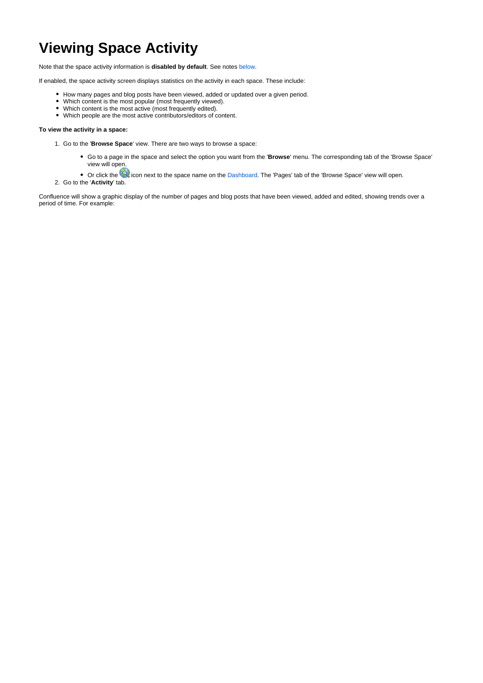# **Viewing Space Activity**

Note that the space activity information is **disabled by default**. See notes [below](#page-1-0).

If enabled, the space activity screen displays statistics on the activity in each space. These include:

- How many pages and blog posts have been viewed, added or updated over a given period.
- Which content is the most popular (most frequently viewed).
- Which content is the most active (most frequently edited).
- Which people are the most active contributors/editors of content.

#### **To view the activity in a space:**

- 1. Go to the '**Browse Space**' view. There are two ways to browse a space:
	- Go to a page in the space and select the option you want from the '**Browse**' menu. The corresponding tab of the 'Browse Space' view will open.
	- Or click the **interest to the space name on the Dashboard**. The 'Pages' tab of the 'Browse Space' view will open.
- 2. Go to the '**Activity**' tab.

Confluence will show a graphic display of the number of pages and blog posts that have been viewed, added and edited, showing trends over a period of time. For example: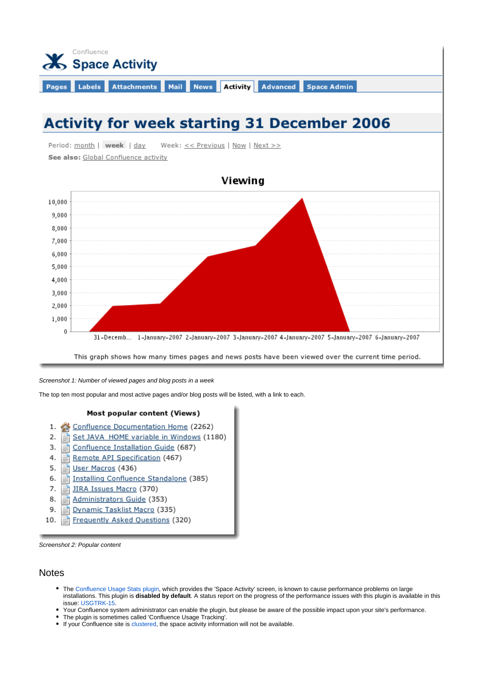

# **Activity for week starting 31 December 2006**

Period: month | week | day Week: << Previous | Now | Next >> See also: Global Confluence activity



This graph shows how many times pages and news posts have been viewed over the current time period.

Screenshot 1: Number of viewed pages and blog posts in a week

The top ten most popular and most active pages and/or blog posts will be listed, with a link to each.

#### Most popular content (Views)

- 1. <u>Onfluence Documentation Home</u> (2262)
- $2.$ Set JAVA HOME variable in Windows (1180) Ξĭ
- Confluence Installation Guide (687) 3. Ξĭ
- Remote API Specification (467) 4. Ħ
- 5. User Macros (436)
- Installing Confluence Standalone (385) 6.
- 7. JIRA Issues Macro (370)
- 8. Administrators Guide (353)
- 9. Dynamic Tasklist Macro (335)
- Frequently Asked Questions (320) 10.

<span id="page-1-0"></span>Screenshot 2: Popular content

### **Notes**

- The [Confluence Usage Stats plugin](https://plugins.atlassian.com/plugin/details/271), which provides the 'Space Activity' screen, is known to cause performance problems on large installations. This plugin is **disabled by default**. A status report on the progress of the performance issues with this plugin is available in this issue: [USGTRK-15.](https://studio.plugins.atlassian.com/browse/USGTRK-15)
- Your Confluence system administrator can enable the plugin, but please be aware of the possible impact upon your site's performance.
- The plugin is sometimes called 'Confluence Usage Tracking'.
- If your Confluence site is [clustered,](https://wikis.nyu.edu/pages/viewpage.action?pageId=20581561) the space activity information will not be available.